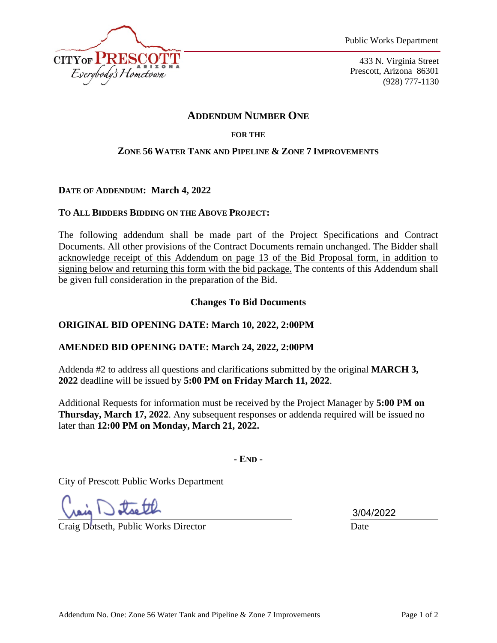

433 N. Virginia Street Prescott, Arizona 86301 (928) 777-1130

# **ADDENDUM NUMBER ONE**

### **FOR THE**

### **ZONE 56 WATER TANK AND PIPELINE & ZONE 7 IMPROVEMENTS**

### **DATE OF ADDENDUM: March 4, 2022**

### **TO ALL BIDDERS BIDDING ON THE ABOVE PROJECT:**

The following addendum shall be made part of the Project Specifications and Contract Documents. All other provisions of the Contract Documents remain unchanged. The Bidder shall acknowledge receipt of this Addendum on page 13 of the Bid Proposal form, in addition to signing below and returning this form with the bid package. The contents of this Addendum shall be given full consideration in the preparation of the Bid.

**Changes To Bid Documents**

# **ORIGINAL BID OPENING DATE: March 10, 2022, 2:00PM**

# **AMENDED BID OPENING DATE: March 24, 2022, 2:00PM**

Addenda #2 to address all questions and clarifications submitted by the original **MARCH 3, 2022** deadline will be issued by **5:00 PM on Friday March 11, 2022**.

Additional Requests for information must be received by the Project Manager by **5:00 PM on Thursday, March 17, 2022**. Any subsequent responses or addenda required will be issued no later than **12:00 PM on Monday, March 21, 2022.** 

**- END -** 

City of Prescott Public Works Department

 $\overline{a}$ 

Craig Dotseth, Public Works Director Date

3/04/2022